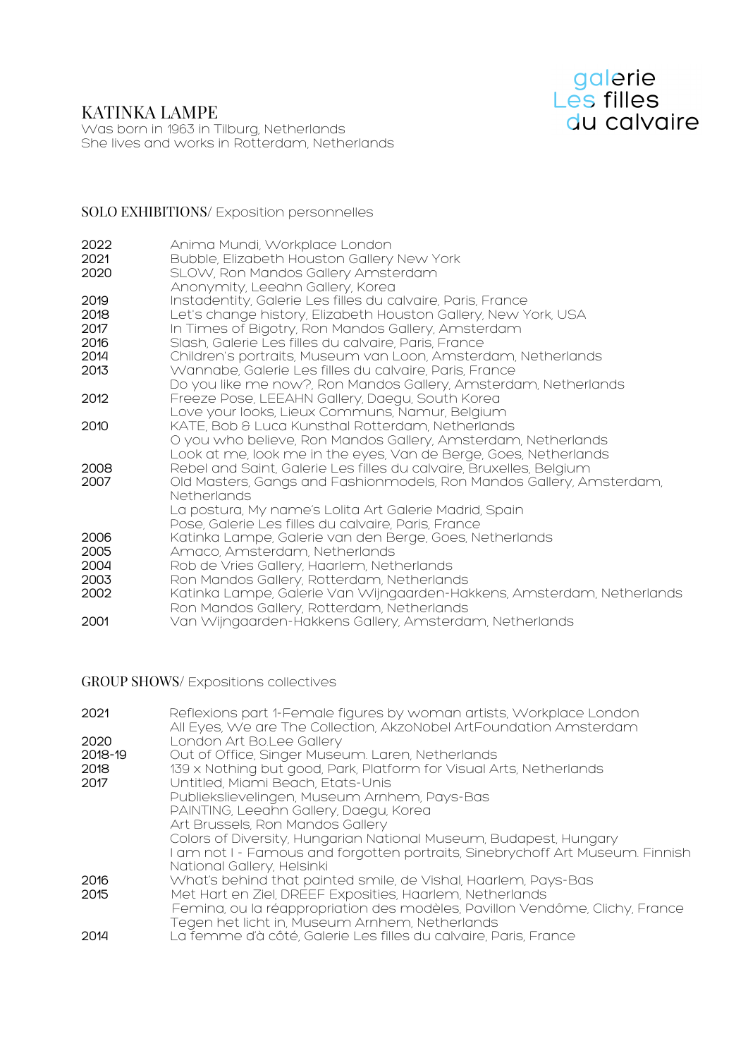# KATINKA LAMPE



Was born in 1963 in Tilburg, Netherlands She lives and works in Rotterdam, Netherlands

#### SOLO EXHIBITIONS/ Exposition personnelles

| 2022<br>2021<br>2020 | Anima Mundi, Workplace London<br>Bubble, Elizabeth Houston Gallery New York<br>SLOW, Ron Mandos Gallery Amsterdam                                                 |
|----------------------|-------------------------------------------------------------------------------------------------------------------------------------------------------------------|
| 2019<br>2018         | Anonymity, Leeahn Gallery, Korea<br>Instadentity, Galerie Les filles du calvaire, Paris, France<br>Let's change history, Elizabeth Houston Gallery, New York, USA |
| 2017                 | In Times of Bigotry, Ron Mandos Gallery, Amsterdam                                                                                                                |
| 2016                 | Slash, Galerie Les filles du calvaire, Paris, France                                                                                                              |
| 2014                 | Children's portraits, Museum van Loon, Amsterdam, Netherlands                                                                                                     |
| 2013                 | Wannabe, Galerie Les filles du calvaire, Paris, France                                                                                                            |
|                      | Do you like me now?, Ron Mandos Gallery, Amsterdam, Netherlands                                                                                                   |
| 2012                 | Freeze Pose, LEEAHN Gallery, Daegu, South Korea                                                                                                                   |
| 2010                 | Love your looks, Lieux Communs, Namur, Belgium<br>KATE, Bob & Luca Kunsthal Rotterdam, Netherlands                                                                |
|                      | O you who believe, Ron Mandos Gallery, Amsterdam, Netherlands                                                                                                     |
|                      | Look at me, look me in the eyes, Van de Berge, Goes, Netherlands                                                                                                  |
| 2008                 | Rebel and Saint, Galerie Les filles du calvaire, Bruxelles, Belgium                                                                                               |
| 2007                 | Old Masters, Gangs and Fashionmodels, Ron Mandos Gallery, Amsterdam,                                                                                              |
|                      | <b>Netherlands</b>                                                                                                                                                |
|                      | La postura, My name's Lolita Art Galerie Madrid, Spain                                                                                                            |
|                      | Pose, Galerie Les filles du calvaire, Paris, France                                                                                                               |
| 2006                 | Katinka Lampe, Galerie van den Berge, Goes, Netherlands                                                                                                           |
| 2005                 | Amaco, Amsterdam, Netherlands                                                                                                                                     |
| 2004                 | Rob de Vries Gallery, Haarlem, Netherlands                                                                                                                        |
| 2003                 | Ron Mandos Gallery, Rotterdam, Netherlands                                                                                                                        |
| 2002                 | Katinka Lampe, Galerie Van Wijngaarden-Hakkens, Amsterdam, Netherlands                                                                                            |
|                      | Ron Mandos Gallery, Rotterdam, Netherlands                                                                                                                        |
| 2001                 | Van Wijngaarden-Hakkens Gallery, Amsterdam, Netherlands                                                                                                           |

GROUP SHOWS/ Expositions collectives

| 2021    | Reflexions part 1-Female figures by woman artists, Workplace London<br>All Eyes, We are The Collection, AkzoNobel ArtFoundation Amsterdam |
|---------|-------------------------------------------------------------------------------------------------------------------------------------------|
| 2020    | London Art Bo.Lee Gallery                                                                                                                 |
| 2018-19 | Out of Office, Singer Museum. Laren, Netherlands                                                                                          |
| 2018    | 139 x Nothing but good, Park, Platform for Visual Arts, Netherlands                                                                       |
| 2017    | Untitled, Miami Beach, Etats-Unis                                                                                                         |
|         | Publiekslievelingen, Museum Arnhem, Pays-Bas                                                                                              |
|         | PAINTING, Leeahn Gallery, Daegu, Korea                                                                                                    |
|         | Art Brussels, Ron Mandos Gallery                                                                                                          |
|         | Colors of Diversity, Hungarian National Museum, Budapest, Hungary                                                                         |
|         | I am not I - Famous and forgotten portraits, Sinebrychoff Art Museum. Finnish<br>National Gallery, Helsinki                               |
| 2016    | What's behind that painted smile, de Vishal, Haarlem, Pays-Bas                                                                            |
| 2015    | Met Hart en Ziel, DREEF Exposities, Haarlem, Netherlands                                                                                  |
|         | Femina, ou la réappropriation des modèles, Pavillon Vendôme, Clichy, France                                                               |
|         | Tegen het licht in, Museum Arnhem, Netherlands                                                                                            |
| 2014    | La femme d'à côté, Galerie Les filles du calvaire, Paris, France                                                                          |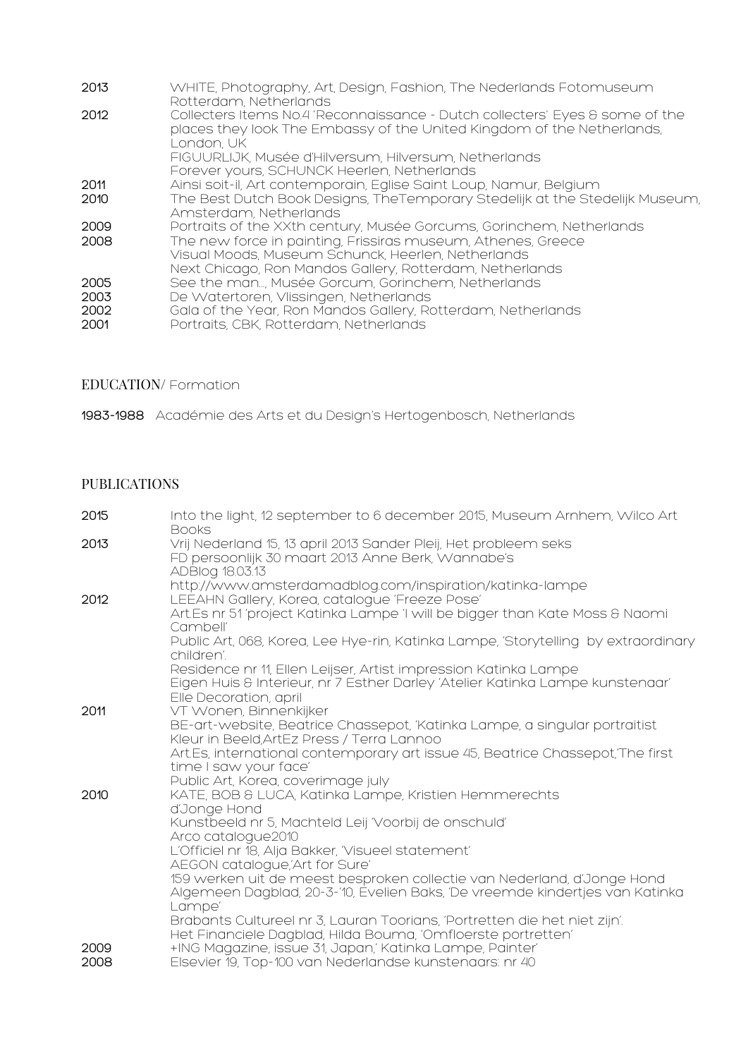| 2013                         | WHITE, Photography, Art, Design, Fashion, The Nederlands Fotomuseum<br>Rotterdam, Netherlands                                                                                                                                                          |
|------------------------------|--------------------------------------------------------------------------------------------------------------------------------------------------------------------------------------------------------------------------------------------------------|
| 2012                         | Collecters Items No.4 'Reconnaissance - Dutch collecters' Eyes & some of the<br>places they look The Embassy of the United Kingdom of the Netherlands,<br>I ondon UK                                                                                   |
|                              | FIGUURLIJK, Musée d'Hilversum, Hilversum, Netherlands<br>Forever yours, SCHUNCK Heerlen, Netherlands                                                                                                                                                   |
| 2011                         | Ainsi soit-il, Art contemporain, Eglise Saint Loup, Namur, Belgium                                                                                                                                                                                     |
| 2010                         | The Best Dutch Book Designs, TheTemporary Stedelijk at the Stedelijk Museum,<br>Amsterdam, Netherlands                                                                                                                                                 |
| 2009<br>2008                 | Portraits of the XXth century, Musée Gorcums, Gorinchem, Netherlands<br>The new force in painting, Frissiras museum, Athenes, Greece<br>Visual Moods, Museum Schunck, Heerlen, Netherlands<br>Next Chicago, Ron Mandos Gallery, Rotterdam, Netherlands |
| 2005<br>2003<br>2002<br>2001 | See the man, Musée Gorcum, Gorinchem, Netherlands<br>De Watertoren, Vlissingen, Netherlands<br>Gala of the Year, Ron Mandos Gallery, Rotterdam, Netherlands<br>Portraits, CBK, Rotterdam, Netherlands                                                  |

### EDUCATION/ Formation

1983-1988 Académie des Arts et du Design's Hertogenbosch, Netherlands

## PUBLICATIONS

| 2015 | Into the light, 12 september to 6 december 2015, Museum Arnhem, Wilco Art<br><b>Books</b>                                                |
|------|------------------------------------------------------------------------------------------------------------------------------------------|
| 2013 | Vrij Nederland 15, 13 april 2013 Sander Pleij, Het probleem seks<br>FD persoonlijk 30 maart 2013 Anne Berk, Wannabe's<br>ADBlog 18.03.13 |
|      | http://www.amsterdamadblog.com/inspiration/katinka-lampe                                                                                 |
| 2012 | LEEAHN Gallery, Korea, catalogue 'Freeze Pose'                                                                                           |
|      | Art.Es nr 51 'project Katinka Lampe 'I will be bigger than Kate Moss & Naomi<br>Cambell'                                                 |
|      | Public Art, 068, Korea, Lee Hye-rin, Katinka Lampe, 'Storytelling by extraordinary                                                       |
|      | children'.                                                                                                                               |
|      | Residence nr 11, Ellen Leijser, Artist impression Katinka Lampe                                                                          |
|      | Eigen Huis & Interieur, nr 7 Esther Darley 'Atelier Katinka Lampe kunstenaar'<br>Elle Decoration, april                                  |
| 2011 | VT Wonen, Binnenkijker                                                                                                                   |
|      | BE-art-website, Beatrice Chassepot, 'Katinka Lampe, a singular portraitist<br>Kleur in Beeld, ArtEz Press / Terra Lannoo                 |
|      | Art.Es, international contemporary art issue 45, Beatrice Chassepot, The first<br>time I saw your face'                                  |
|      | Public Art, Korea, coverimage july                                                                                                       |
| 2010 | KATE, BOB & LUCA, Katinka Lampe, Kristien Hemmerechts                                                                                    |
|      | d'Jonge Hond                                                                                                                             |
|      | Kunstbeeld nr 5, Machteld Leij 'Voorbij de onschuld'                                                                                     |
|      | Arco catalogue2010<br>L'Officiel nr 18, Alja Bakker, 'Visueel statement'                                                                 |
|      | AEGON catalogue,'Art for Sure'                                                                                                           |
|      | 159 werken uit de meest besproken collectie van Nederland, d'Jonge Hond                                                                  |
|      | Algemeen Dagblad, 20-3-'10, Evelien Baks, 'De vreemde kindertjes van Katinka                                                             |
|      | Lampe'                                                                                                                                   |
|      | Brabants Cultureel nr 3, Lauran Toorians, 'Portretten die het niet zijn'.                                                                |
| 2009 | Het Financiele Dagblad, Hilda Bouma, 'Omfloerste portretten'<br>+ING Magazine, issue 31, Japan,' Katinka Lampe, Painter'                 |
| 2008 | Elsevier 19, Top-100 van Nederlandse kunstenaars: nr 40                                                                                  |
|      |                                                                                                                                          |